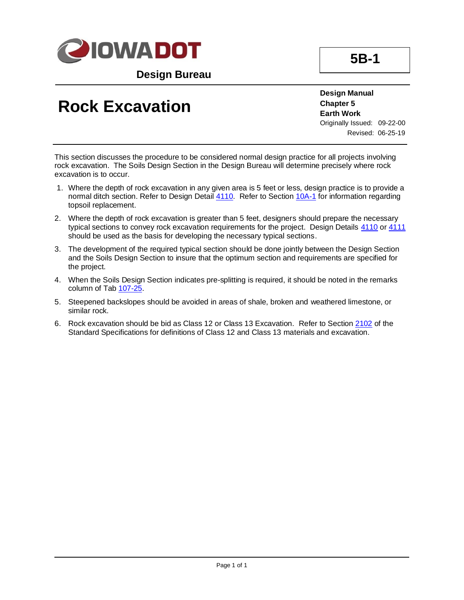

**Design Bureau**

## **Rock Excavation**

**Design Manual Chapter 5 Earth Work** Originally Issued: 09-22-00 Revised: 06-25-19

This section discusses the procedure to be considered normal design practice for all projects involving rock excavation. The Soils Design Section in the Design Bureau will determine precisely where rock excavation is to occur.

- 1. Where the depth of rock excavation in any given area is 5 feet or less, design practice is to provide a normal ditch section. Refer to Design Detail [4110.](../tnt/PDFsandWebFiles/IndividualPDFs/4110.pdf) Refer to Section [10A-1](10a-01.pdf) for information regarding topsoil replacement.
- 2. Where the depth of rock excavation is greater than 5 feet, designers should prepare the necessary typical sections to convey rock excavation requirements for the project. Design Details [4110](../tnt/PDFsandWebFiles/IndividualPDFs/4110.pdf) or [4111](../tnt/PDFsandWebFiles/IndividualPDFs/4111.pdf) should be used as the basis for developing the necessary typical sections.
- 3. The development of the required typical section should be done jointly between the Design Section and the Soils Design Section to insure that the optimum section and requirements are specified for the project.
- 4. When the Soils Design Section indicates pre-splitting is required, it should be noted in the remarks column of Tab [107-25.](../tnt/PDFsandWebFiles/IndividualPDFs/0107-25.PDF)
- 5. Steepened backslopes should be avoided in areas of shale, broken and weathered limestone, or similar rock.
- 6. Rock excavation should be bid as Class 12 or Class 13 Excavation. Refer to Section [2102](../../erl/current/GS/content/2102.htm) of the Standard Specifications for definitions of Class 12 and Class 13 materials and excavation.